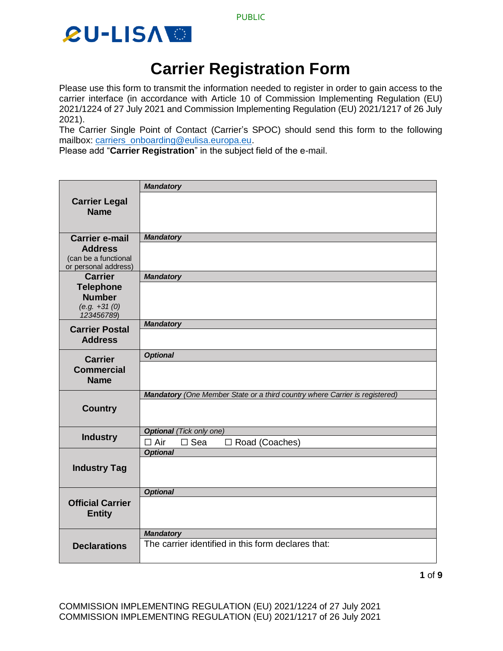



### **Carrier Registration Form**

Please use this form to transmit the information needed to register in order to gain access to the carrier interface (in accordance with Article 10 of Commission Implementing Regulation (EU) 2021/1224 of 27 July 2021 and Commission Implementing Regulation (EU) 2021/1217 of 26 July 2021).

The Carrier Single Point of Contact (Carrier's SPOC) should send this form to the following mailbox: [carriers\\_onboarding@eulisa.europa.eu.](mailto:carriers_onboarding@eulisa.europa.eu)

Please add "**Carrier Registration**" in the subject field of the e-mail.

|                                              | <b>Mandatory</b>                                                            |  |  |  |  |
|----------------------------------------------|-----------------------------------------------------------------------------|--|--|--|--|
| <b>Carrier Legal</b>                         |                                                                             |  |  |  |  |
| <b>Name</b>                                  |                                                                             |  |  |  |  |
|                                              |                                                                             |  |  |  |  |
|                                              |                                                                             |  |  |  |  |
| <b>Carrier e-mail</b>                        | <b>Mandatory</b>                                                            |  |  |  |  |
| <b>Address</b>                               |                                                                             |  |  |  |  |
| (can be a functional<br>or personal address) |                                                                             |  |  |  |  |
| <b>Carrier</b>                               | <b>Mandatory</b>                                                            |  |  |  |  |
| <b>Telephone</b>                             |                                                                             |  |  |  |  |
| <b>Number</b>                                |                                                                             |  |  |  |  |
| $(e.g. +31(0))$                              |                                                                             |  |  |  |  |
| 123456789)                                   |                                                                             |  |  |  |  |
| <b>Carrier Postal</b>                        | <b>Mandatory</b>                                                            |  |  |  |  |
| <b>Address</b>                               |                                                                             |  |  |  |  |
| <b>Carrier</b>                               | <b>Optional</b>                                                             |  |  |  |  |
| <b>Commercial</b>                            |                                                                             |  |  |  |  |
| <b>Name</b>                                  |                                                                             |  |  |  |  |
|                                              | Mandatory (One Member State or a third country where Carrier is registered) |  |  |  |  |
|                                              |                                                                             |  |  |  |  |
| <b>Country</b>                               |                                                                             |  |  |  |  |
|                                              |                                                                             |  |  |  |  |
| <b>Industry</b>                              | <b>Optional</b> (Tick only one)                                             |  |  |  |  |
|                                              | $\Box$ Air<br>$\square$ Sea<br>□ Road (Coaches)<br><b>Optional</b>          |  |  |  |  |
| <b>Industry Tag</b>                          |                                                                             |  |  |  |  |
|                                              |                                                                             |  |  |  |  |
|                                              |                                                                             |  |  |  |  |
| <b>Official Carrier</b><br><b>Entity</b>     | <b>Optional</b>                                                             |  |  |  |  |
|                                              |                                                                             |  |  |  |  |
|                                              |                                                                             |  |  |  |  |
|                                              |                                                                             |  |  |  |  |
|                                              | <b>Mandatory</b><br>The carrier identified in this form declares that:      |  |  |  |  |
| <b>Declarations</b>                          |                                                                             |  |  |  |  |
|                                              |                                                                             |  |  |  |  |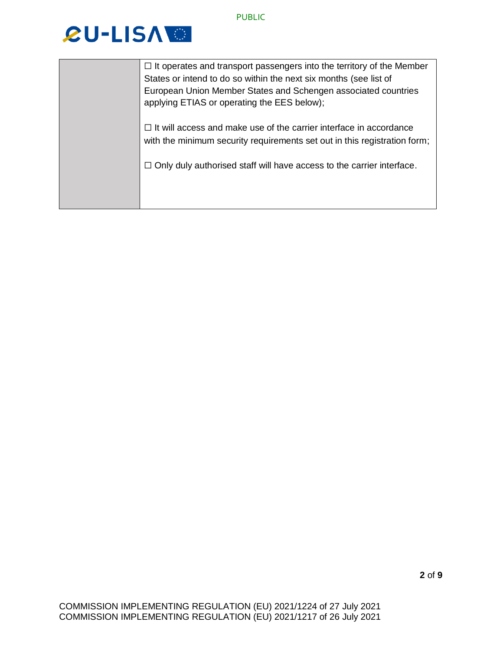| $\Box$ It operates and transport passengers into the territory of the Member |
|------------------------------------------------------------------------------|
| States or intend to do so within the next six months (see list of            |
| European Union Member States and Schengen associated countries               |
| applying ETIAS or operating the EES below);                                  |
|                                                                              |
| $\Box$ It will access and make use of the carrier interface in accordance    |
| with the minimum security requirements set out in this registration form;    |
|                                                                              |
| $\Box$ Only duly authorised staff will have access to the carrier interface. |
|                                                                              |
|                                                                              |
|                                                                              |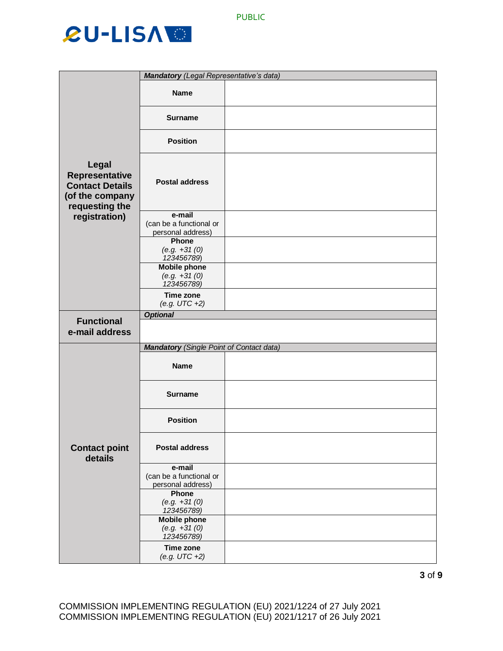|                                                                                               | <b>Mandatory</b> (Legal Representative's data)         |  |
|-----------------------------------------------------------------------------------------------|--------------------------------------------------------|--|
|                                                                                               | <b>Name</b>                                            |  |
|                                                                                               | <b>Surname</b>                                         |  |
|                                                                                               | <b>Position</b>                                        |  |
| Legal<br><b>Representative</b><br><b>Contact Details</b><br>(of the company<br>requesting the | <b>Postal address</b>                                  |  |
| registration)                                                                                 | e-mail<br>(can be a functional or                      |  |
|                                                                                               | personal address)                                      |  |
|                                                                                               | Phone<br>$(e.g. +31(0))$<br>123456789)                 |  |
|                                                                                               | <b>Mobile phone</b><br>$(e.g. +31(0))$<br>123456789)   |  |
|                                                                                               | Time zone<br>$(e.g. UTC +2)$                           |  |
| <b>Functional</b>                                                                             | <b>Optional</b>                                        |  |
| e-mail address                                                                                |                                                        |  |
|                                                                                               | <b>Mandatory</b> (Single Point of Contact data)        |  |
| <b>Contact point</b><br>details                                                               | <b>Name</b>                                            |  |
|                                                                                               | <b>Surname</b>                                         |  |
|                                                                                               | <b>Position</b>                                        |  |
|                                                                                               | <b>Postal address</b>                                  |  |
|                                                                                               | e-mail<br>(can be a functional or<br>personal address) |  |
|                                                                                               | Phone<br>$(e.g. +31(0))$<br>123456789)                 |  |
|                                                                                               | <b>Mobile phone</b><br>$(e.g. +31(0))$<br>123456789)   |  |
|                                                                                               | <b>Time zone</b><br>$(e.g. UTC +2)$                    |  |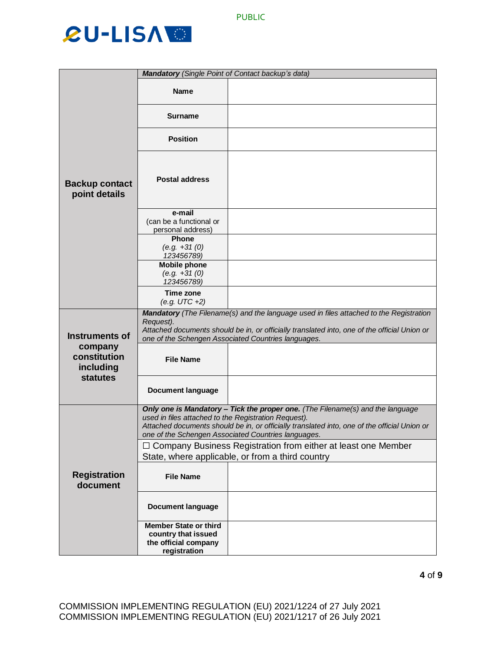|                                        | Mandatory (Single Point of Contact backup's data)                                                                                                                                                                                                                                             |                                                                                                                     |  |
|----------------------------------------|-----------------------------------------------------------------------------------------------------------------------------------------------------------------------------------------------------------------------------------------------------------------------------------------------|---------------------------------------------------------------------------------------------------------------------|--|
| <b>Backup contact</b><br>point details | <b>Name</b>                                                                                                                                                                                                                                                                                   |                                                                                                                     |  |
|                                        | <b>Surname</b>                                                                                                                                                                                                                                                                                |                                                                                                                     |  |
|                                        | <b>Position</b>                                                                                                                                                                                                                                                                               |                                                                                                                     |  |
|                                        | <b>Postal address</b>                                                                                                                                                                                                                                                                         |                                                                                                                     |  |
|                                        | e-mail<br>(can be a functional or<br>personal address)                                                                                                                                                                                                                                        |                                                                                                                     |  |
|                                        | <b>Phone</b><br>$(e.g. +31(0))$<br>123456789)                                                                                                                                                                                                                                                 |                                                                                                                     |  |
|                                        | <b>Mobile phone</b><br>$(e.g. +31(0))$<br>123456789)                                                                                                                                                                                                                                          |                                                                                                                     |  |
|                                        | Time zone<br>$(e.g. UTC +2)$                                                                                                                                                                                                                                                                  |                                                                                                                     |  |
| <b>Instruments of</b>                  | Mandatory (The Filename(s) and the language used in files attached to the Registration<br>Request).<br>Attached documents should be in, or officially translated into, one of the official Union or<br>one of the Schengen Associated Countries languages.                                    |                                                                                                                     |  |
| company<br>constitution<br>including   | <b>File Name</b>                                                                                                                                                                                                                                                                              |                                                                                                                     |  |
| <b>statutes</b>                        | <b>Document language</b>                                                                                                                                                                                                                                                                      |                                                                                                                     |  |
|                                        | Only one is Mandatory - Tick the proper one. (The Filename(s) and the language<br>used in files attached to the Registration Request).<br>Attached documents should be in, or officially translated into, one of the official Union or<br>one of the Schengen Associated Countries languages. |                                                                                                                     |  |
| <b>Registration</b><br>document        |                                                                                                                                                                                                                                                                                               | □ Company Business Registration from either at least one Member<br>State, where applicable, or from a third country |  |
|                                        | <b>File Name</b>                                                                                                                                                                                                                                                                              |                                                                                                                     |  |
|                                        | <b>Document language</b>                                                                                                                                                                                                                                                                      |                                                                                                                     |  |
|                                        | <b>Member State or third</b><br>country that issued<br>the official company<br>registration                                                                                                                                                                                                   |                                                                                                                     |  |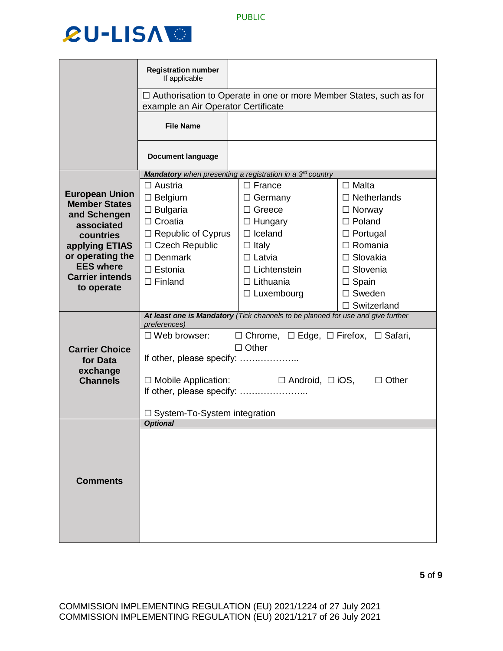

|                                               | <b>Registration number</b><br>If applicable                                                                      |                                                           |                    |  |  |
|-----------------------------------------------|------------------------------------------------------------------------------------------------------------------|-----------------------------------------------------------|--------------------|--|--|
|                                               | $\Box$ Authorisation to Operate in one or more Member States, such as for<br>example an Air Operator Certificate |                                                           |                    |  |  |
|                                               | <b>File Name</b>                                                                                                 |                                                           |                    |  |  |
|                                               | <b>Document language</b>                                                                                         |                                                           |                    |  |  |
|                                               |                                                                                                                  | Mandatory when presenting a registration in a 3rd country |                    |  |  |
|                                               | $\Box$ Austria                                                                                                   | $\Box$ France                                             | $\Box$ Malta       |  |  |
| <b>European Union</b><br><b>Member States</b> | $\Box$ Belgium                                                                                                   | $\Box$ Germany                                            | $\Box$ Netherlands |  |  |
| and Schengen                                  | $\Box$ Bulgaria                                                                                                  | $\Box$ Greece                                             | $\Box$ Norway      |  |  |
| associated                                    | $\Box$ Croatia                                                                                                   | $\Box$ Hungary                                            | $\Box$ Poland      |  |  |
| countries                                     | $\Box$ Republic of Cyprus                                                                                        | $\Box$ Iceland                                            | $\Box$ Portugal    |  |  |
| applying ETIAS                                | $\Box$ Czech Republic                                                                                            | $\Box$ Italy                                              | $\Box$ Romania     |  |  |
| or operating the                              | $\Box$ Denmark                                                                                                   | $\Box$ Latvia                                             | $\Box$ Slovakia    |  |  |
| <b>EES where</b>                              | $\Box$ Estonia                                                                                                   | $\Box$ Lichtenstein                                       | $\Box$ Slovenia    |  |  |
| <b>Carrier intends</b><br>to operate          | $\Box$ Finland                                                                                                   | $\Box$ Lithuania                                          | $\Box$ Spain       |  |  |
|                                               |                                                                                                                  | $\Box$ Luxembourg                                         | $\Box$ Sweden      |  |  |
|                                               |                                                                                                                  |                                                           | $\Box$ Switzerland |  |  |
|                                               | At least one is Mandatory (Tick channels to be planned for use and give further<br>preferences)                  |                                                           |                    |  |  |
|                                               | $\Box$ Chrome, $\Box$ Edge, $\Box$ Firefox, $\Box$ Safari,<br>$\Box$ Web browser:                                |                                                           |                    |  |  |
| <b>Carrier Choice</b>                         | $\Box$ Other                                                                                                     |                                                           |                    |  |  |
| for Data                                      | If other, please specify:                                                                                        |                                                           |                    |  |  |
| exchange                                      |                                                                                                                  |                                                           |                    |  |  |
| <b>Channels</b>                               | $\Box$ Android, $\Box$ iOS,<br>$\Box$ Mobile Application:<br>$\Box$ Other                                        |                                                           |                    |  |  |
|                                               | If other, please specify:                                                                                        |                                                           |                    |  |  |
|                                               |                                                                                                                  |                                                           |                    |  |  |
|                                               | <b>Optional</b>                                                                                                  | $\Box$ System-To-System integration                       |                    |  |  |
|                                               |                                                                                                                  |                                                           |                    |  |  |
|                                               |                                                                                                                  |                                                           |                    |  |  |
|                                               |                                                                                                                  |                                                           |                    |  |  |
|                                               |                                                                                                                  |                                                           |                    |  |  |
| <b>Comments</b>                               |                                                                                                                  |                                                           |                    |  |  |
|                                               |                                                                                                                  |                                                           |                    |  |  |
|                                               |                                                                                                                  |                                                           |                    |  |  |
|                                               |                                                                                                                  |                                                           |                    |  |  |
|                                               |                                                                                                                  |                                                           |                    |  |  |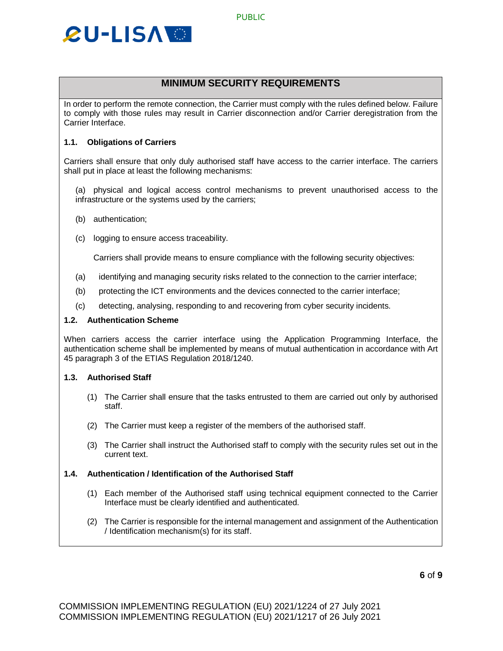

#### **MINIMUM SECURITY REQUIREMENTS**

In order to perform the remote connection, the Carrier must comply with the rules defined below. Failure to comply with those rules may result in Carrier disconnection and/or Carrier deregistration from the Carrier Interface.

#### **1.1. Obligations of Carriers**

Carriers shall ensure that only duly authorised staff have access to the carrier interface. The carriers shall put in place at least the following mechanisms:

(a) physical and logical access control mechanisms to prevent unauthorised access to the infrastructure or the systems used by the carriers;

- (b) authentication;
- (c) logging to ensure access traceability.

Carriers shall provide means to ensure compliance with the following security objectives:

- (a) identifying and managing security risks related to the connection to the carrier interface;
- (b) protecting the ICT environments and the devices connected to the carrier interface;
- (c) detecting, analysing, responding to and recovering from cyber security incidents.

#### **1.2. Authentication Scheme**

When carriers access the carrier interface using the Application Programming Interface, the authentication scheme shall be implemented by means of mutual authentication in accordance with Art 45 paragraph 3 of the ETIAS Regulation 2018/1240.

#### **1.3. Authorised Staff**

- (1) The Carrier shall ensure that the tasks entrusted to them are carried out only by authorised staff.
- (2) The Carrier must keep a register of the members of the authorised staff.
- (3) The Carrier shall instruct the Authorised staff to comply with the security rules set out in the current text.

#### **1.4. Authentication / Identification of the Authorised Staff**

- (1) Each member of the Authorised staff using technical equipment connected to the Carrier Interface must be clearly identified and authenticated.
- (2) The Carrier is responsible for the internal management and assignment of the Authentication / Identification mechanism(s) for its staff.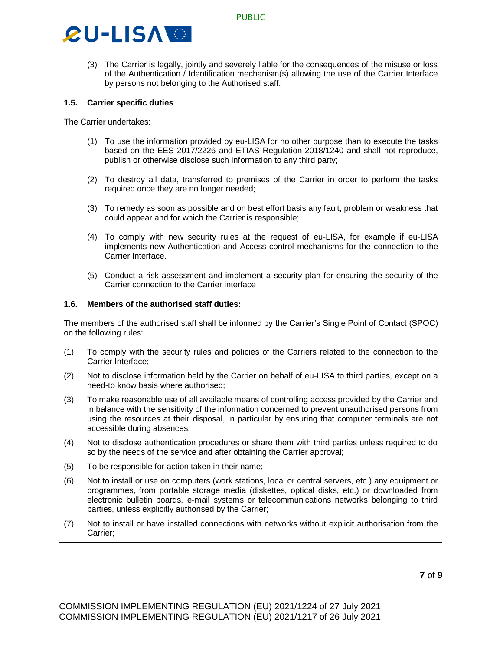(3) The Carrier is legally, jointly and severely liable for the consequences of the misuse or loss of the Authentication / Identification mechanism(s) allowing the use of the Carrier Interface by persons not belonging to the Authorised staff.

#### **1.5. Carrier specific duties**

The Carrier undertakes:

- (1) To use the information provided by eu-LISA for no other purpose than to execute the tasks based on the EES 2017/2226 and ETIAS Regulation 2018/1240 and shall not reproduce, publish or otherwise disclose such information to any third party;
- (2) To destroy all data, transferred to premises of the Carrier in order to perform the tasks required once they are no longer needed;
- (3) To remedy as soon as possible and on best effort basis any fault, problem or weakness that could appear and for which the Carrier is responsible;
- (4) To comply with new security rules at the request of eu-LISA, for example if eu-LISA implements new Authentication and Access control mechanisms for the connection to the Carrier Interface.
- (5) Conduct a risk assessment and implement a security plan for ensuring the security of the Carrier connection to the Carrier interface

#### **1.6. Members of the authorised staff duties:**

The members of the authorised staff shall be informed by the Carrier's Single Point of Contact (SPOC) on the following rules:

- (1) To comply with the security rules and policies of the Carriers related to the connection to the Carrier Interface;
- (2) Not to disclose information held by the Carrier on behalf of eu-LISA to third parties, except on a need-to know basis where authorised;
- (3) To make reasonable use of all available means of controlling access provided by the Carrier and in balance with the sensitivity of the information concerned to prevent unauthorised persons from using the resources at their disposal, in particular by ensuring that computer terminals are not accessible during absences;
- (4) Not to disclose authentication procedures or share them with third parties unless required to do so by the needs of the service and after obtaining the Carrier approval;
- (5) To be responsible for action taken in their name;
- (6) Not to install or use on computers (work stations, local or central servers, etc.) any equipment or programmes, from portable storage media (diskettes, optical disks, etc.) or downloaded from electronic bulletin boards, e-mail systems or telecommunications networks belonging to third parties, unless explicitly authorised by the Carrier;
- (7) Not to install or have installed connections with networks without explicit authorisation from the Carrier;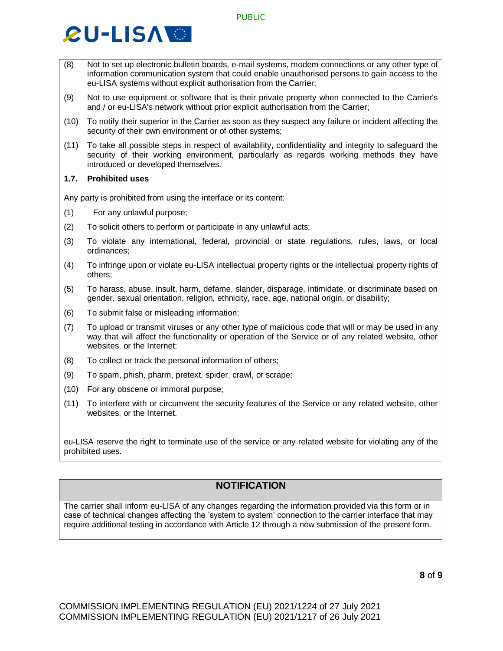- (8) Not to set up electronic bulletin boards, e-mail systems, modem connections or any other type of information communication system that could enable unauthorised persons to gain access to the eu-LISA systems without explicit authorisation from the Carrier;
- (9) Not to use equipment or software that is their private property when connected to the Carrier's and / or eu-LISA's network without prior explicit authorisation from the Carrier;
- (10) To notify their superior in the Carrier as soon as they suspect any failure or incident affecting the security of their own environment or of other systems;
- (11) To take all possible steps in respect of availability, confidentiality and integrity to safeguard the security of their working environment, particularly as regards working methods they have introduced or developed themselves.

#### **1.7. Prohibited uses**

Any party is prohibited from using the interface or its content:

- (1) For any unlawful purpose;
- (2) To solicit others to perform or participate in any unlawful acts;
- (3) To violate any international, federal, provincial or state regulations, rules, laws, or local ordinances;
- (4) To infringe upon or violate eu-LISA intellectual property rights or the intellectual property rights of others;
- (5) To harass, abuse, insult, harm, defame, slander, disparage, intimidate, or discriminate based on gender, sexual orientation, religion, ethnicity, race, age, national origin, or disability;
- (6) To submit false or misleading information;
- (7) To upload or transmit viruses or any other type of malicious code that will or may be used in any way that will affect the functionality or operation of the Service or of any related website, other websites, or the Internet;
- (8) To collect or track the personal information of others;
- (9) To spam, phish, pharm, pretext, spider, crawl, or scrape;
- (10) For any obscene or immoral purpose;
- (11) To interfere with or circumvent the security features of the Service or any related website, other websites, or the Internet.

eu-LISA reserve the right to terminate use of the service or any related website for violating any of the prohibited uses.

#### **NOTIFICATION**

The carrier shall inform eu-LISA of any changes regarding the information provided via this form or in case of technical changes affecting the 'system to system' connection to the carrier interface that may require additional testing in accordance with Article 12 through a new submission of the present form.